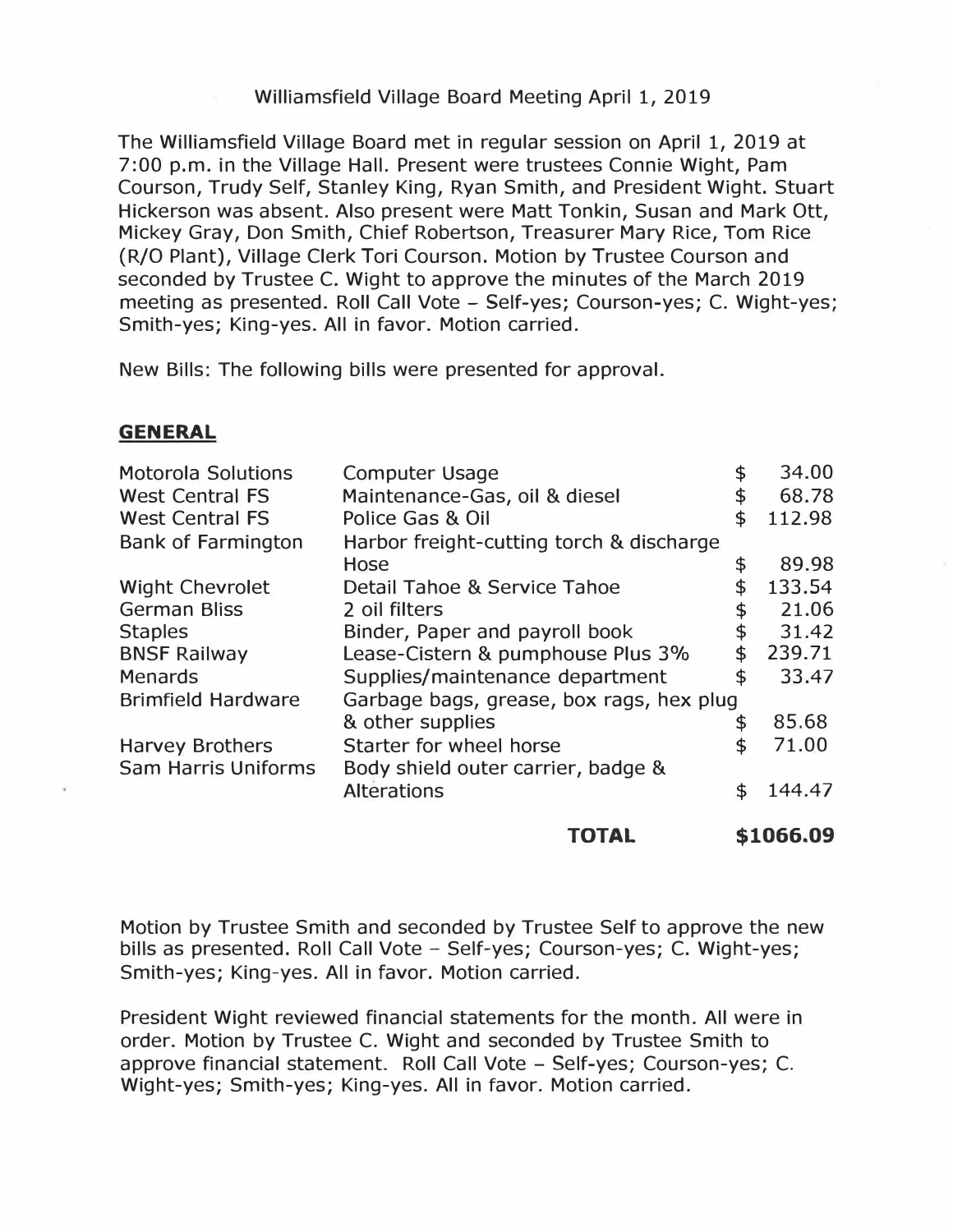## Williamsfield Village Board Meeting April 1, 2019

The Williamsfield Village Board met in regular session on April 1, 2019 at 7:00 p.m. in the Village Hall. Present were trustees Connie Wight, Pam Courson, Trudy Self, Stanley King, Ryan Smith, and President Wight. Stuart Hickerson was absent. Also present were Matt Tonkin, Susan and Mark Ott, Mickey Gray, Don Smith, Chief Robertson, Treasurer Mary Rice, Tom Rice (R/O Plant), Village Clerk Tori Courson. Motion by Trustee Courson and seconded by Trustee C. Wight to approve the minutes of the March 2019 meeting as presented. Roll Call Vote - Self-yes; Courson-yes; C. Wight-yes; Smith-yes; King-yes. All in favor. Motion carried.

New Bills: The following bills were presented for approval.

## **GENERAL**

|                            | TOTAL                                    |    | \$1066.09 |
|----------------------------|------------------------------------------|----|-----------|
|                            | <b>Alterations</b>                       | \$ | 144.47    |
| <b>Sam Harris Uniforms</b> | Body shield outer carrier, badge &       |    |           |
| <b>Harvey Brothers</b>     | Starter for wheel horse                  |    | 71.00     |
|                            | & other supplies                         | \$ | 85.68     |
| <b>Brimfield Hardware</b>  | Garbage bags, grease, box rags, hex plug |    |           |
| <b>Menards</b>             | Supplies/maintenance department          | \$ | 33.47     |
| <b>BNSF Railway</b>        | Lease-Cistern & pumphouse Plus 3%        | \$ | 239.71    |
| <b>Staples</b>             | Binder, Paper and payroll book           | \$ | 31.42     |
| <b>German Bliss</b>        | 2 oil filters                            | \$ | 21.06     |
| <b>Wight Chevrolet</b>     | Detail Tahoe & Service Tahoe             | \$ | 133.54    |
|                            | Hose                                     | \$ | 89.98     |
| <b>Bank of Farmington</b>  | Harbor freight-cutting torch & discharge |    |           |
| <b>West Central FS</b>     | Police Gas & Oil                         | \$ | 112.98    |
| <b>West Central FS</b>     | Maintenance-Gas, oil & diesel            | \$ | 68.78     |
| <b>Motorola Solutions</b>  | <b>Computer Usage</b>                    | \$ | 34.00     |

Motion by Trustee Smith and seconded by Trustee Self to approve the new bills as presented. Roll Call Vote - Self-yes; Courson-yes; C. Wight-yes; Smith-yes; King-yes. All in favor. Motion carried.

President Wight reviewed financial statements for the month. All were in order. Motion by Trustee C. Wight and seconded by Trustee Smith to approve financial statement. Roll Call Vote - Self-yes; Courson-yes; C. Wight-yes; Smith-yes; King-yes. All in favor. Motion carried.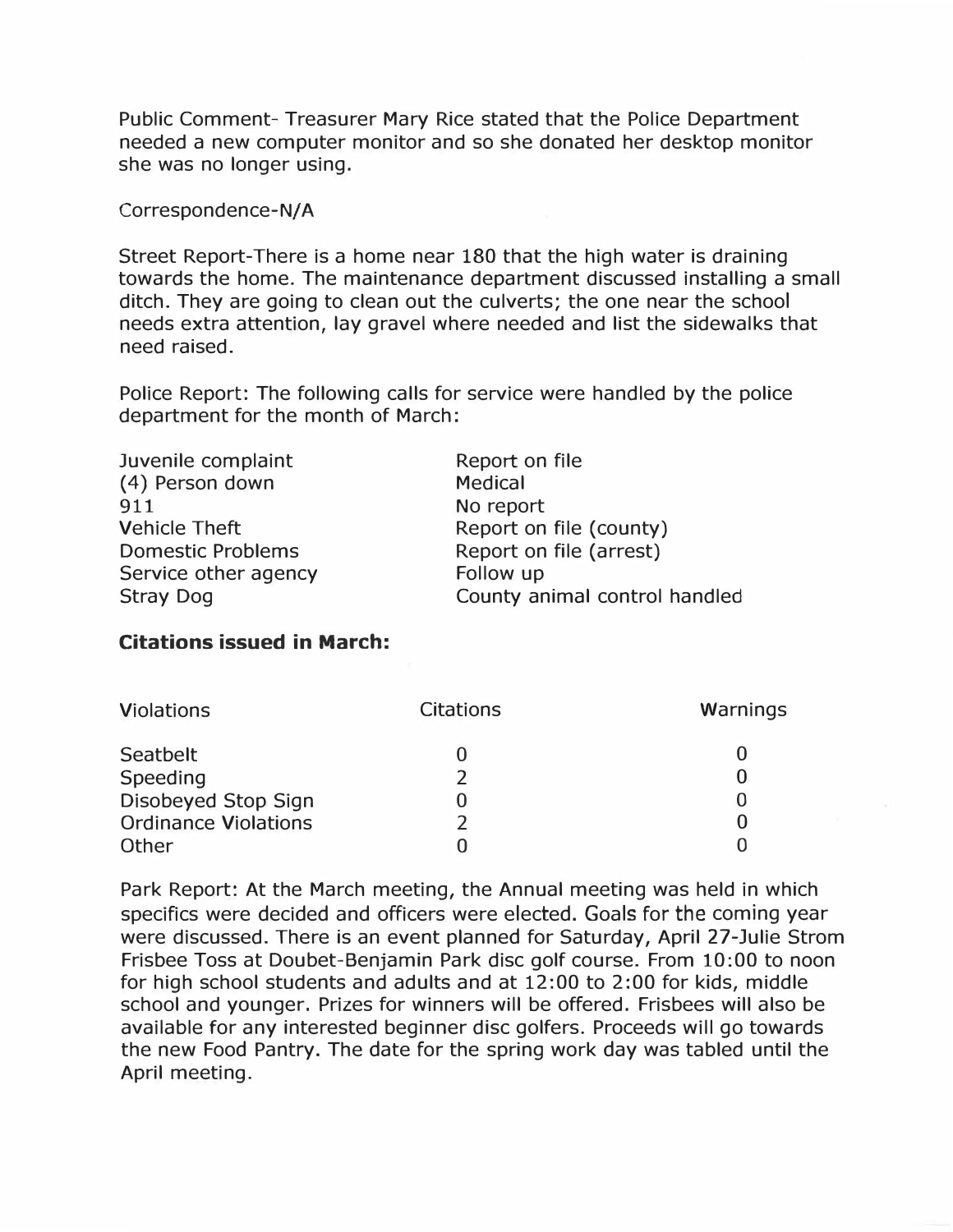**Public Comment- Treasurer Mary Rice stated that the Police Department needed a new computer monitor and so she donated her desktop monitor she was no longer using.** 

Correspondence-N/A

**Street Report-There is a home near 180 that the high water is draining towards the home. The maintenance department discussed installing a small ditch. They are going to clean out the culverts; the one near the school needs extra attention, lay gravel where needed and list the sidewalks that need raised.** 

**Police Report: The following calls for service were handled by the police department for the month of March:** 

| Report on file                |
|-------------------------------|
| <b>Medical</b>                |
| No report                     |
| Report on file (county)       |
| Report on file (arrest)       |
| Follow up                     |
| County animal control handled |
|                               |

## **Citations issued in March:**

| <b>Violations</b>           | <b>Citations</b> | Warnings |
|-----------------------------|------------------|----------|
| Seatbelt<br>Speeding        |                  | 0        |
| Disobeyed Stop Sign         |                  | 0        |
| <b>Ordinance Violations</b> |                  |          |
| Other                       |                  |          |

**Park Report: At the March meeting, the Annual meeting was held in which specifics were decided and officers were elected. Goals for** the **coming year were discussed. There is an event planned for Saturday, April 27-Julie Strom Frisbee Toss at Doubet-Benjamin Park disc golf course. From 10:00 to noon for high school students and adults and at 12:00 to 2:00 for kids, middle school and younger. Prizes for winners will be offered. Frisbees will also be available for any interested beginner disc golfers. Proceeds will go towards the new Food Pantry. The date for the spring work day was tabled until the April meeting.**